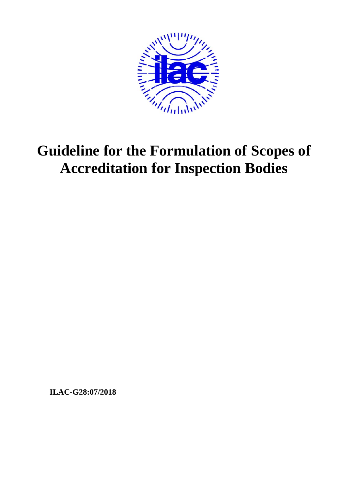

# **Guideline for the Formulation of Scopes of Accreditation for Inspection Bodies**

ILAC-G28:07/2018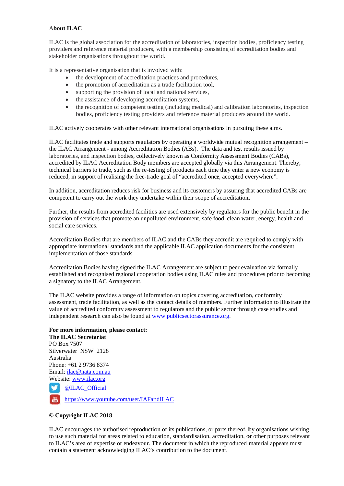# **About ILAC**

ILAC is the global association for the accreditation of laboratories, inspection bodies, proficiency testing providers and reference material producers, with a membership consisting of accreditation bodies and stakeholder organisations throughout the world.

It is a representative organisation that is involved with:

- the development of accreditation practices and procedures,
- the promotion of accreditation as a trade facilitation tool,  $\bullet$
- supporting the provision of local and national services,
- the assistance of developing accreditation systems,
- the recognition of competent testing (including medical) and calibration laboratories, inspection  $\bullet$ bodies, proficiency testing providers and reference material producers around the world.

ILAC actively cooperates with other relevant international organisations in pursuing these aims.

ILAC facilitates trade and supports regulators by operating a worldwide mutual recognition arrangement – the ILAC Arrangement - among Accreditation Bodies (ABs). The data and test results issued by laboratories, and inspection bodies, collectively known as Conformity Assessment Bodies (CABs), accredited by ILAC Accreditation Body members are accepted globally via this Arrangement. Thereby, technical barriers to trade, such as the re-testing of products each time they enter a new economy is reduced, in support of realising the free-trade goal of "accredited once, accepted everywhere".

In addition, accreditation reduces risk for business and its customers by assuring that accredited CABs are competent to carry out the work they undertake within their scope of accreditation.

Further, the results from accredited facilities are used extensively by regulators for the public benefit in the provision of services that promote an unpolluted environment, safe food, clean water, energy, health and social care services.

Accreditation Bodies that are members of ILAC and the CABs they accredit are required to comply with appropriate international standards and the applicable ILAC application documents for the consistent implementation of those standards.

Accreditation Bodies having signed the ILAC Arrangement are subject to peer evaluation via formally established and recognised regional cooperation bodies using ILAC rules and procedures prior to becoming a signatory to the ILAC Arrangement.

The ILAC website provides a range of information on topics covering accreditation, conformity assessment, trade facilitation, as well as the contact details of members. Further information to illustrate the value of accredited conformity assessment to regulators and the public sector through case studies and independent research can also be found at www.publicsectorassurance.org.

# For more information, please contact:

The ILAC Secretariat PO Box 7507 Silverwater NSW 2128 Australia Phone: +61 2 9736 8374 Email: ilac@nata.com.au Website: www.ilac.org

w @ILAC\_Official

https://www.youtube.com/user/IAFandILAC

#### © Copyright ILAC 2018

ILAC encourages the authorised reproduction of its publications, or parts thereof, by organisations wishing to use such material for areas related to education, standardisation, accreditation, or other purposes relevant to ILAC's area of expertise or endeavour. The document in which the reproduced material appears must contain a statement acknowledging ILAC's contribution to the document.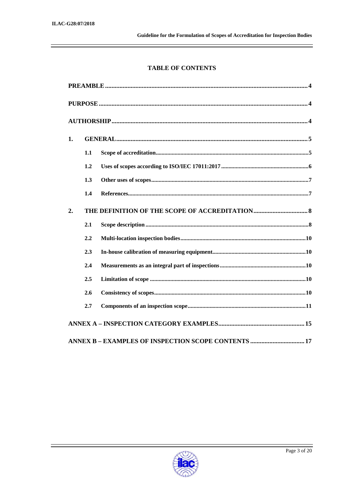# **TABLE OF CONTENTS**

| 1. |     |                                                     |  |  |  |
|----|-----|-----------------------------------------------------|--|--|--|
|    | 1.1 |                                                     |  |  |  |
|    | 1.2 |                                                     |  |  |  |
|    | 1.3 |                                                     |  |  |  |
|    | 1.4 |                                                     |  |  |  |
| 2. |     |                                                     |  |  |  |
|    | 2.1 |                                                     |  |  |  |
|    | 2.2 |                                                     |  |  |  |
|    | 2.3 |                                                     |  |  |  |
|    | 2.4 |                                                     |  |  |  |
|    | 2.5 |                                                     |  |  |  |
|    | 2.6 |                                                     |  |  |  |
|    | 2.7 |                                                     |  |  |  |
|    |     |                                                     |  |  |  |
|    |     | ANNEX B - EXAMPLES OF INSPECTION SCOPE CONTENTS  17 |  |  |  |

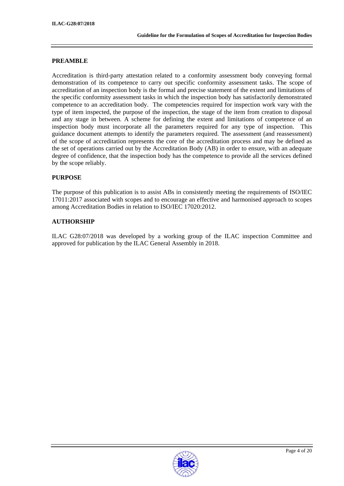# **PREAMBLE**

Accreditation is third-party attestation related to a conformity assessment body conveying formal demonstration of its competence to carry out specific conformity assessment tasks. The scope of accreditation of an inspection body is the formal and precise statement of the extent and limitations of the specific conformity assessment tasks in which the inspection body has satisfactorily demonstrated competence to an accreditation body. The competencies required for inspection work vary with the type of item inspected, the purpose of the inspection, the stage of the item from creation to disposal and any stage in between. A scheme for defining the extent and limitations of competence of an inspection body must incorporate all the parameters required for any type of inspection. This guidance document attempts to identify the parameters required. The assessment (and reassessment) of the scope of accreditation represents the core of the accreditation process and may be defined as the set of operations carried out by the Accreditation Body (AB) in order to ensure, with an adequate degree of confidence, that the inspection body has the competence to provide all the services defined by the scope reliably.

# **PURPOSE**

The purpose of this publication is to assist ABs in consistently meeting the requirements of ISO/IEC 17011:2017 associated with scopes and to encourage an effective and harmonised approach to scopes among Accreditation Bodies in relation to ISO/IEC 17020:2012.

# **AUTHORSHIP**

ILAC G28:07/2018 was developed by a working group of the ILAC inspection Committee and approved for publication by the ILAC General Assembly in 2018.

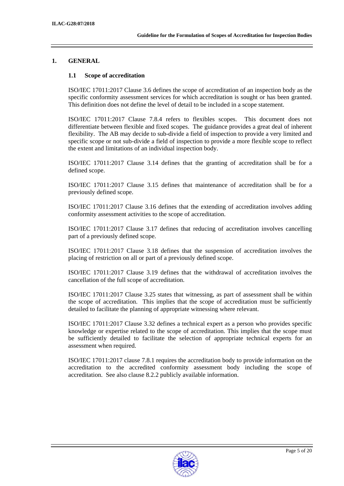# **1. GENERAL**

#### **1.1 Scope of accreditation**

ISO/IEC 17011:2017 Clause 3.6 defines the scope of accreditation of an inspection body as the specific conformity assessment services for which accreditation is sought or has been granted. This definition does not define the level of detail to be included in a scope statement.

ISO/IEC 17011:2017 Clause 7.8.4 refers to flexibles scopes. This document does not differentiate between flexible and fixed scopes. The guidance provides a great deal of inherent flexibility. The AB may decide to sub-divide a field of inspection to provide a very limited and specific scope or not sub-divide a field of inspection to provide a more flexible scope to reflect the extent and limitations of an individual inspection body.

ISO/IEC 17011:2017 Clause 3.14 defines that the granting of accreditation shall be for a defined scope.

ISO/IEC 17011:2017 Clause 3.15 defines that maintenance of accreditation shall be for a previously defined scope.

ISO/IEC 17011:2017 Clause 3.16 defines that the extending of accreditation involves adding conformity assessment activities to the scope of accreditation.

ISO/IEC 17011:2017 Clause 3.17 defines that reducing of accreditation involves cancelling part of a previously defined scope.

ISO/IEC 17011:2017 Clause 3.18 defines that the suspension of accreditation involves the placing of restriction on all or part of a previously defined scope.

ISO/IEC 17011:2017 Clause 3.19 defines that the withdrawal of accreditation involves the cancellation of the full scope of accreditation.

ISO/IEC 17011:2017 Clause 3.25 states that witnessing, as part of assessment shall be within the scope of accreditation. This implies that the scope of accreditation must be sufficiently detailed to facilitate the planning of appropriate witnessing where relevant.

ISO/IEC 17011:2017 Clause 3.32 defines a technical expert as a person who provides specific knowledge or expertise related to the scope of accreditation. This implies that the scope must be sufficiently detailed to facilitate the selection of appropriate technical experts for an assessment when required.

ISO/IEC 17011:2017 clause 7.8.1 requires the accreditation body to provide information on the accreditation to the accredited conformity assessment body including the scope of accreditation. See also clause 8.2.2 publicly available information.

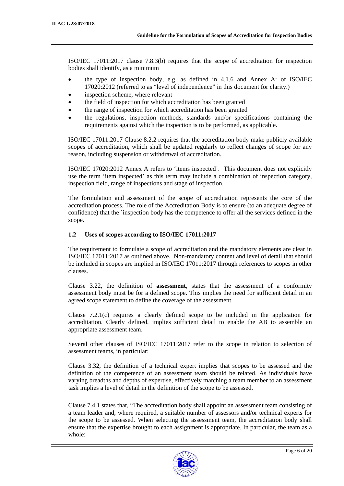ISO/IEC 17011:2017 clause 7.8.3(b) requires that the scope of accreditation for inspection bodies shall identify, as a minimum

- the type of inspection body, e.g. as defined in 4.1.6 and Annex A: of ISO/IEC 17020:2012 (referred to as "level of independence" in this document for clarity.)
- inspection scheme, where relevant
- the field of inspection for which accreditation has been granted
- the range of inspection for which accreditation has been granted
- the regulations, inspection methods, standards and/or specifications containing the requirements against which the inspection is to be performed, as applicable.

ISO/IEC 17011:2017 Clause 8.2.2 requires that the accreditation body make publicly available scopes of accreditation, which shall be updated regularly to reflect changes of scope for any reason, including suspension or withdrawal of accreditation.

ISO/IEC 17020:2012 Annex A refers to 'items inspected'. This document does not explicitly use the term 'item inspected' as this term may include a combination of inspection category, inspection field, range of inspections and stage of inspection.

The formulation and assessment of the scope of accreditation represents the core of the accreditation process. The role of the Accreditation Body is to ensure (to an adequate degree of confidence) that the `inspection body has the competence to offer all the services defined in the scope.

#### **1.2 Uses of scopes according to ISO/IEC 17011:2017**

The requirement to formulate a scope of accreditation and the mandatory elements are clear in ISO/IEC 17011:2017 as outlined above. Non-mandatory content and level of detail that should be included in scopes are implied in ISO/IEC 17011:2017 through references to scopes in other clauses.

Clause 3.22, the definition of **assessment**, states that the assessment of a conformity assessment body must be for a defined scope. This implies the need for sufficient detail in an agreed scope statement to define the coverage of the assessment.

Clause 7.2.1(c) requires a clearly defined scope to be included in the application for accreditation. Clearly defined, implies sufficient detail to enable the AB to assemble an appropriate assessment team.

Several other clauses of ISO/IEC 17011:2017 refer to the scope in relation to selection of assessment teams, in particular:

Clause 3.32, the definition of a technical expert implies that scopes to be assessed and the definition of the competence of an assessment team should be related. As individuals have varying breadths and depths of expertise, effectively matching a team member to an assessment task implies a level of detail in the definition of the scope to be assessed.

Clause 7.4.1 states that, "The accreditation body shall appoint an assessment team consisting of a team leader and, where required, a suitable number of assessors and/or technical experts for the scope to be assessed. When selecting the assessment team, the accreditation body shall ensure that the expertise brought to each assignment is appropriate. In particular, the team as a whole:

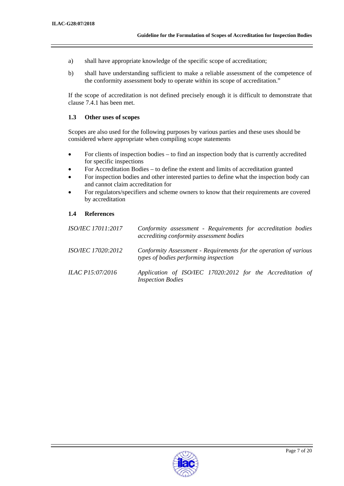- a) shall have appropriate knowledge of the specific scope of accreditation;
- b) shall have understanding sufficient to make a reliable assessment of the competence of the conformity assessment body to operate within its scope of accreditation."

If the scope of accreditation is not defined precisely enough it is difficult to demonstrate that clause 7.4.1 has been met.

#### **1.3 Other uses of scopes**

Scopes are also used for the following purposes by various parties and these uses should be considered where appropriate when compiling scope statements

- For clients of inspection bodies to find an inspection body that is currently accredited for specific inspections
- For Accreditation Bodies to define the extent and limits of accreditation granted
- For inspection bodies and other interested parties to define what the inspection body can and cannot claim accreditation for
- For regulators/specifiers and scheme owners to know that their requirements are covered by accreditation

#### **1.4 References**

| <i>ISO/IEC 17011:2017</i> | Conformity assessment - Requirements for accreditation bodies<br>accrediting conformity assessment bodies  |
|---------------------------|------------------------------------------------------------------------------------------------------------|
| <i>ISO/IEC 17020:2012</i> | Conformity Assessment - Requirements for the operation of various<br>types of bodies performing inspection |
| <i>ILAC P15:07/2016</i>   | Application of ISO/IEC 17020:2012 for the Accreditation of<br><b>Inspection Bodies</b>                     |

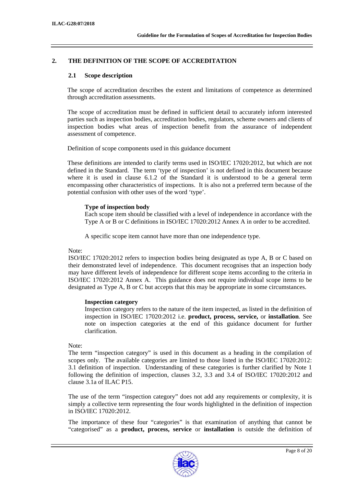# **2. THE DEFINITION OF THE SCOPE OF ACCREDITATION**

## **2.1 Scope description**

The scope of accreditation describes the extent and limitations of competence as determined through accreditation assessments.

The scope of accreditation must be defined in sufficient detail to accurately inform interested parties such as inspection bodies, accreditation bodies, regulators, scheme owners and clients of inspection bodies what areas of inspection benefit from the assurance of independent assessment of competence.

Definition of scope components used in this guidance document

These definitions are intended to clarify terms used in ISO/IEC 17020:2012, but which are not defined in the Standard. The term 'type of inspection' is not defined in this document because where it is used in clause 6.1.2 of the Standard it is understood to be a general term encompassing other characteristics of inspections. It is also not a preferred term because of the potential confusion with other uses of the word 'type'.

# **Type of inspection body**

Each scope item should be classified with a level of independence in accordance with the Type A or B or C definitions in ISO/IEC 17020:2012 Annex A in order to be accredited.

A specific scope item cannot have more than one independence type.

#### Note:

ISO/IEC 17020:2012 refers to inspection bodies being designated as type A, B or C based on their demonstrated level of independence. This document recognises that an inspection body may have different levels of independence for different scope items according to the criteria in ISO/IEC 17020:2012 Annex A. This guidance does not require individual scope items to be designated as Type A, B or C but accepts that this may be appropriate in some circumstances.

#### **Inspection category**

Inspection category refers to the nature of the item inspected, as listed in the definition of inspection in ISO/IEC 17020:2012 i.e. **product, process, service,** or **installation**. See note on inspection categories at the end of this guidance document for further clarification.

# Note:

The term "inspection category" is used in this document as a heading in the compilation of scopes only. The available categories are limited to those listed in the ISO/IEC 17020:2012: 3.1 definition of inspection. Understanding of these categories is further clarified by Note 1 following the definition of inspection, clauses 3.2, 3.3 and 3.4 of ISO/IEC 17020:2012 and clause 3.1a of ILAC P15.

The use of the term "inspection category" does not add any requirements or complexity, it is simply a collective term representing the four words highlighted in the definition of inspection in ISO/IEC 17020:2012.

The importance of these four "categories" is that examination of anything that cannot be "categorised" as a **product, process, service** or **installation** is outside the definition of

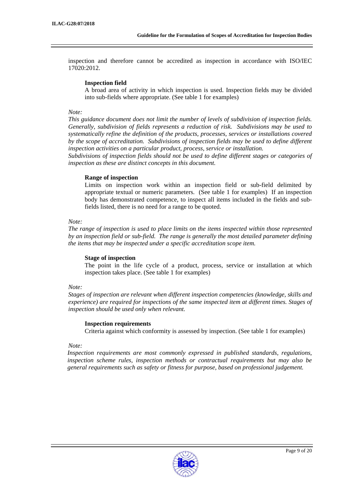inspection and therefore cannot be accredited as inspection in accordance with ISO/IEC 17020:2012.

#### **Inspection field**

A broad area of activity in which inspection is used. Inspection fields may be divided into sub-fields where appropriate. (See table 1 for examples)

#### *Note:*

*This guidance document does not limit the number of levels of subdivision of inspection fields. Generally, subdivision of fields represents a reduction of risk. Subdivisions may be used to systematically refine the definition of the products, processes, services or installations covered by the scope of accreditation. Subdivisions of inspection fields may be used to define different inspection activities on a particular product, process, service or installation.* 

*Subdivisions of inspection fields should not be used to define different stages or categories of inspection as these are distinct concepts in this document.* 

#### **Range of inspection**

Limits on inspection work within an inspection field or sub-field delimited by appropriate textual or numeric parameters. (See table 1 for examples) If an inspection body has demonstrated competence, to inspect all items included in the fields and subfields listed, there is no need for a range to be quoted.

#### *Note:*

*The range of inspection is used to place limits on the items inspected within those represented by an inspection field or sub-field. The range is generally the most detailed parameter defining the items that may be inspected under a specific accreditation scope item.* 

#### **Stage of inspection**

The point in the life cycle of a product, process, service or installation at which inspection takes place. (See table 1 for examples)

#### *Note:*

*Stages of inspection are relevant when different inspection competencies (knowledge, skills and experience) are required for inspections of the same inspected item at different times. Stages of inspection should be used only when relevant.* 

# **Inspection requirements**

Criteria against which conformity is assessed by inspection. (See table 1 for examples)

#### *Note:*

*Inspection requirements are most commonly expressed in published standards, regulations, inspection scheme rules, inspection methods or contractual requirements but may also be general requirements such as safety or fitness for purpose, based on professional judgement.*

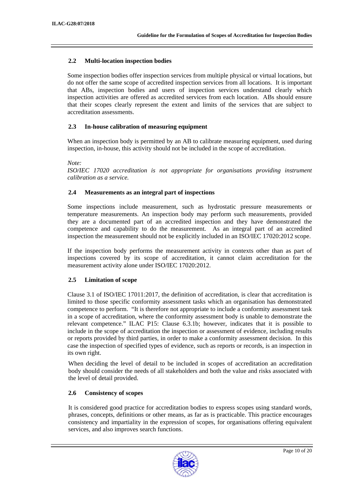# **2.2 Multi-location inspection bodies**

Some inspection bodies offer inspection services from multiple physical or virtual locations, but do not offer the same scope of accredited inspection services from all locations. It is important that ABs, inspection bodies and users of inspection services understand clearly which inspection activities are offered as accredited services from each location. ABs should ensure that their scopes clearly represent the extent and limits of the services that are subject to accreditation assessments.

#### **2.3 In-house calibration of measuring equipment**

When an inspection body is permitted by an AB to calibrate measuring equipment, used during inspection, in-house, this activity should not be included in the scope of accreditation.

*Note:* 

*ISO/IEC 17020 accreditation is not appropriate for organisations providing instrument calibration as a service.* 

#### **2.4 Measurements as an integral part of inspections**

Some inspections include measurement, such as hydrostatic pressure measurements or temperature measurements. An inspection body may perform such measurements, provided they are a documented part of an accredited inspection and they have demonstrated the competence and capability to do the measurement. As an integral part of an accredited inspection the measurement should not be explicitly included in an ISO/IEC 17020:2012 scope.

If the inspection body performs the measurement activity in contexts other than as part of inspections covered by its scope of accreditation, it cannot claim accreditation for the measurement activity alone under ISO/IEC 17020:2012.

# **2.5 Limitation of scope**

Clause 3.1 of ISO/IEC 17011:2017, the definition of accreditation, is clear that accreditation is limited to those specific conformity assessment tasks which an organisation has demonstrated competence to perform. "It is therefore not appropriate to include a conformity assessment task in a scope of accreditation, where the conformity assessment body is unable to demonstrate the relevant competence." ILAC P15: Clause 6.3.1b; however, indicates that it is possible to include in the scope of accreditation the inspection or assessment of evidence, including results or reports provided by third parties, in order to make a conformity assessment decision. In this case the inspection of specified types of evidence, such as reports or records, is an inspection in its own right.

When deciding the level of detail to be included in scopes of accreditation an accreditation body should consider the needs of all stakeholders and both the value and risks associated with the level of detail provided.

# **2.6 Consistency of scopes**

It is considered good practice for accreditation bodies to express scopes using standard words, phrases, concepts, definitions or other means, as far as is practicable. This practice encourages consistency and impartiality in the expression of scopes, for organisations offering equivalent services, and also improves search functions.

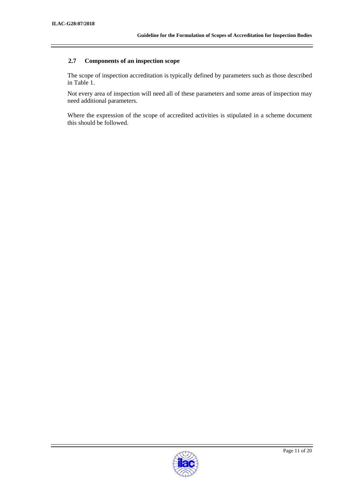# **2.7 Components of an inspection scope**

The scope of inspection accreditation is typically defined by parameters such as those described in Table 1.

Not every area of inspection will need all of these parameters and some areas of inspection may need additional parameters.

Where the expression of the scope of accredited activities is stipulated in a scheme document this should be followed.

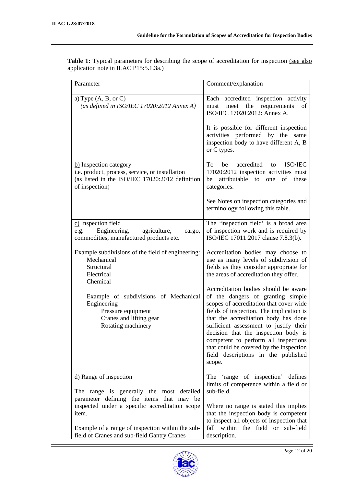| Parameter                                                                                                                                                                                                                                                                       | Comment/explanation                                                                                                                                                                                                                                                                                                                                                                                                            |
|---------------------------------------------------------------------------------------------------------------------------------------------------------------------------------------------------------------------------------------------------------------------------------|--------------------------------------------------------------------------------------------------------------------------------------------------------------------------------------------------------------------------------------------------------------------------------------------------------------------------------------------------------------------------------------------------------------------------------|
| a) Type $(A, B, or C)$<br>(as defined in ISO/IEC 17020:2012 Annex A)                                                                                                                                                                                                            | accredited inspection activity<br>Each<br>meet the<br>requirements<br>of<br>must<br>ISO/IEC 17020:2012: Annex A.<br>It is possible for different inspection<br>activities performed by the<br>same<br>inspection body to have different A, B<br>or C types.                                                                                                                                                                    |
| b) Inspection category<br>i.e. product, process, service, or installation<br>(as listed in the ISO/IEC 17020:2012 definition<br>of inspection)                                                                                                                                  | accredited<br>To<br>ISO/IEC<br>be<br>to<br>17020:2012 inspection activities must<br>attributable<br>to one<br>of these<br>be<br>categories.<br>See Notes on inspection categories and<br>terminology following this table.                                                                                                                                                                                                     |
| $c)$ Inspection field<br>Engineering,<br>agriculture,<br>e.g.<br>cargo,<br>commodities, manufactured products etc.<br>Example subdivisions of the field of engineering:<br>Mechanical<br>Structural<br>Electrical                                                               | The 'inspection field' is a broad area<br>of inspection work and is required by<br>ISO/IEC 17011:2017 clause 7.8.3(b).<br>Accreditation bodies may choose to<br>use as many levels of subdivision of<br>fields as they consider appropriate for<br>the areas of accreditation they offer.                                                                                                                                      |
| Chemical<br>Example of subdivisions of Mechanical<br>Engineering<br>Pressure equipment<br>Cranes and lifting gear<br>Rotating machinery                                                                                                                                         | Accreditation bodies should be aware<br>of the dangers of granting simple<br>scopes of accreditation that cover wide<br>fields of inspection. The implication is<br>that the accreditation body has done<br>sufficient assessment to justify their<br>decision that the inspection body is<br>competent to perform all inspections<br>that could be covered by the inspection<br>field descriptions in the published<br>scope. |
| d) Range of inspection<br>range is generally the most detailed<br>The<br>parameter defining the items that may be<br>inspected under a specific accreditation scope<br>item.<br>Example of a range of inspection within the sub-<br>field of Cranes and sub-field Gantry Cranes | 'range of inspection' defines<br>The<br>limits of competence within a field or<br>sub-field.<br>Where no range is stated this implies<br>that the inspection body is competent<br>to inspect all objects of inspection that<br>fall within the field or sub-field<br>description.                                                                                                                                              |

Table 1: Typical parameters for describing the scope of accreditation for inspection (see also application note in ILAC P15:5.1.3a.)

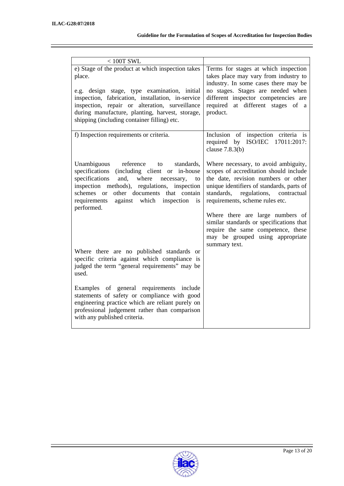| $<100T$ SWL                                                                                                                                                                                                                                                                                                          |                                                                                                                                                                                                                                                                                                                                                                                                                            |
|----------------------------------------------------------------------------------------------------------------------------------------------------------------------------------------------------------------------------------------------------------------------------------------------------------------------|----------------------------------------------------------------------------------------------------------------------------------------------------------------------------------------------------------------------------------------------------------------------------------------------------------------------------------------------------------------------------------------------------------------------------|
| e) Stage of the product at which inspection takes<br>place.<br>e.g. design stage, type examination, initial<br>inspection, fabrication, installation, in-service<br>inspection, repair or alteration, surveillance<br>during manufacture, planting, harvest, storage,<br>shipping (including container filling) etc. | Terms for stages at which inspection<br>takes place may vary from industry to<br>industry. In some cases there may be<br>no stages. Stages are needed when<br>different inspector competencies are<br>required at different stages of a<br>product.                                                                                                                                                                        |
| f) Inspection requirements or criteria.                                                                                                                                                                                                                                                                              | Inclusion of inspection criteria is<br>required by ISO/IEC 17011:2017:<br>clause $7.8.3(b)$                                                                                                                                                                                                                                                                                                                                |
| Unambiguous<br>reference<br>standards,<br>to<br>specifications<br>(including client or in-house<br>specifications<br>and, where<br>necessary,<br>to<br>inspection methods), regulations, inspection<br>schemes or other documents that contain<br>against which inspection<br>requirements<br>is<br>performed.       | Where necessary, to avoid ambiguity,<br>scopes of accreditation should include<br>the date, revision numbers or other<br>unique identifiers of standards, parts of<br>standards,<br>regulations, contractual<br>requirements, scheme rules etc.<br>Where there are large numbers of<br>similar standards or specifications that<br>require the same competence, these<br>may be grouped using appropriate<br>summary text. |
| Where there are no published standards or<br>specific criteria against which compliance is<br>judged the term "general requirements" may be<br>used.                                                                                                                                                                 |                                                                                                                                                                                                                                                                                                                                                                                                                            |
| Examples of general requirements include<br>statements of safety or compliance with good<br>engineering practice which are reliant purely on<br>professional judgement rather than comparison<br>with any published criteria.                                                                                        |                                                                                                                                                                                                                                                                                                                                                                                                                            |

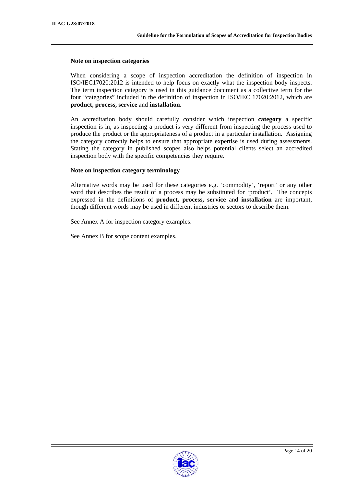#### **Note on inspection categories**

When considering a scope of inspection accreditation the definition of inspection in ISO/IEC17020:2012 is intended to help focus on exactly what the inspection body inspects. The term inspection category is used in this guidance document as a collective term for the four "categories" included in the definition of inspection in ISO/IEC 17020:2012, which are **product, process, service** and **installation**.

An accreditation body should carefully consider which inspection **category** a specific inspection is in, as inspecting a product is very different from inspecting the process used to produce the product or the appropriateness of a product in a particular installation. Assigning the category correctly helps to ensure that appropriate expertise is used during assessments. Stating the category in published scopes also helps potential clients select an accredited inspection body with the specific competencies they require.

#### **Note on inspection category terminology**

Alternative words may be used for these categories e.g. 'commodity', 'report' or any other word that describes the result of a process may be substituted for 'product'. The concepts expressed in the definitions of **product, process, service** and **installation** are important, though different words may be used in different industries or sectors to describe them.

See Annex A for inspection category examples.

See Annex B for scope content examples.

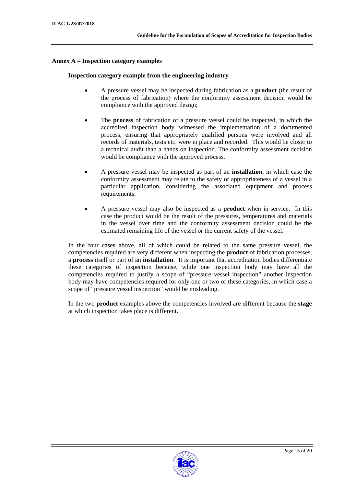#### **Annex A – Inspection category examples**

#### **Inspection category example from the engineering industry**

- A pressure vessel may be inspected during fabrication as a **product** (the result of the process of fabrication) where the conformity assessment decision would be compliance with the approved design;
- The **process** of fabrication of a pressure vessel could be inspected, in which the accredited inspection body witnessed the implementation of a documented process, ensuring that appropriately qualified persons were involved and all records of materials, tests etc. were in place and recorded. This would be closer to a technical audit than a hands on inspection. The conformity assessment decision would be compliance with the approved process.
- A pressure vessel may be inspected as part of an **installation**, in which case the conformity assessment may relate to the safety or appropriateness of a vessel in a particular application, considering the associated equipment and process requirements.
- A pressure vessel may also be inspected as a **product** when in-service. In this case the product would be the result of the pressures, temperatures and materials in the vessel over time and the conformity assessment decision could be the estimated remaining life of the vessel or the current safety of the vessel.

In the four cases above, all of which could be related to the same pressure vessel, the competencies required are very different when inspecting the **product** of fabrication processes, a **process** itself or part of an **installation**. It is important that accreditation bodies differentiate these categories of inspection because, while one inspection body may have all the competencies required to justify a scope of "pressure vessel inspection" another inspection body may have competencies required for only one or two of these categories, in which case a scope of "pressure vessel inspection" would be misleading.

In the two **product** examples above the competencies involved are different because the **stage** at which inspection takes place is different.

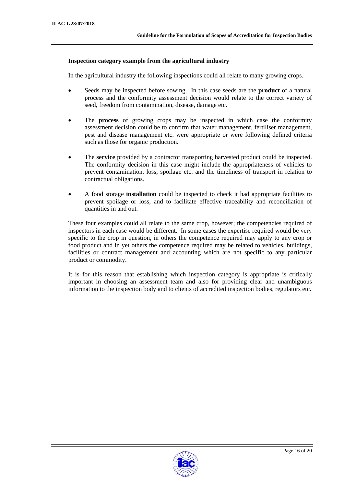#### **Inspection category example from the agricultural industry**

In the agricultural industry the following inspections could all relate to many growing crops.

- Seeds may be inspected before sowing. In this case seeds are the **product** of a natural process and the conformity assessment decision would relate to the correct variety of seed, freedom from contamination, disease, damage etc.
- The **process** of growing crops may be inspected in which case the conformity assessment decision could be to confirm that water management, fertiliser management, pest and disease management etc. were appropriate or were following defined criteria such as those for organic production.
- The **service** provided by a contractor transporting harvested product could be inspected. The conformity decision in this case might include the appropriateness of vehicles to prevent contamination, loss, spoilage etc. and the timeliness of transport in relation to contractual obligations.
- A food storage **installation** could be inspected to check it had appropriate facilities to prevent spoilage or loss, and to facilitate effective traceability and reconciliation of quantities in and out.

These four examples could all relate to the same crop, however; the competencies required of inspectors in each case would be different. In some cases the expertise required would be very specific to the crop in question, in others the competence required may apply to any crop or food product and in yet others the competence required may be related to vehicles, buildings, facilities or contract management and accounting which are not specific to any particular product or commodity.

It is for this reason that establishing which inspection category is appropriate is critically important in choosing an assessment team and also for providing clear and unambiguous information to the inspection body and to clients of accredited inspection bodies, regulators etc.

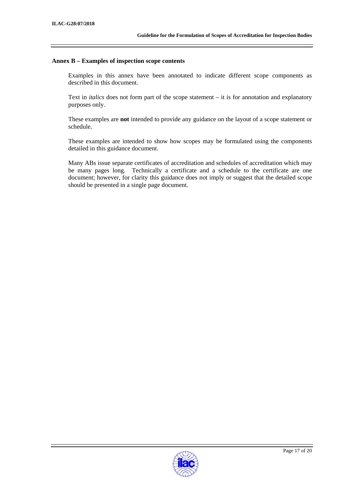#### **Annex B – Examples of inspection scope contents**

Examples in this annex have been annotated to indicate different scope components as described in this document.

Text in *italics* does not form part of the scope statement – it is for annotation and explanatory purposes only.

These examples are **not** intended to provide any guidance on the layout of a scope statement or schedule.

These examples are intended to show how scopes may be formulated using the components detailed in this guidance document.

Many ABs issue separate certificates of accreditation and schedules of accreditation which may be many pages long. Technically a certificate and a schedule to the certificate are one document; however, for clarity this guidance does not imply or suggest that the detailed scope should be presented in a single page document.

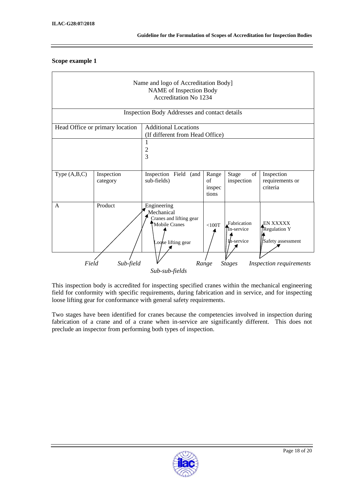#### **Scope example 1**

| Name and logo of Accreditation Body]<br><b>NAME</b> of Inspection Body<br><b>Accreditation No 1234</b> |                                 |                                                                                             |                                |                                                                                                                           |                                                              |
|--------------------------------------------------------------------------------------------------------|---------------------------------|---------------------------------------------------------------------------------------------|--------------------------------|---------------------------------------------------------------------------------------------------------------------------|--------------------------------------------------------------|
|                                                                                                        |                                 | Inspection Body Addresses and contact details                                               |                                |                                                                                                                           |                                                              |
|                                                                                                        | Head Office or primary location | <b>Additional Locations</b><br>(If different from Head Office)                              |                                |                                                                                                                           |                                                              |
|                                                                                                        |                                 | 2<br>3                                                                                      |                                |                                                                                                                           |                                                              |
| Type $(A,B,C)$                                                                                         | Inspection<br>category          | Inspection<br>Field<br>(and<br>sub-fields)                                                  | Range<br>of<br>inspec<br>tions | $% \left( \left( \mathcal{A},\mathcal{A}\right) \right) =\left( \mathcal{A},\mathcal{A}\right)$ of<br>Stage<br>inspection | Inspection<br>requirements or<br>criteria                    |
| $\mathsf{A}$                                                                                           | Product                         | Engineering<br>Mechanical<br>Cranes and lifting gear<br>Mobile Cranes<br>Loose lifting gear | $<$ 100T                       | Fabrication<br>In-service<br>In-service                                                                                   | <b>EN XXXXX.</b><br><b>Regulation Y</b><br>Safety assessment |
| Sub-field<br>Field<br><b>Stages</b><br>Inspection requirements<br>Range<br>Sub-sub-fields              |                                 |                                                                                             |                                |                                                                                                                           |                                                              |

This inspection body is accredited for inspecting specified cranes within the mechanical engineering field for conformity with specific requirements, during fabrication and in service, and for inspecting loose lifting gear for conformance with general safety requirements.

Two stages have been identified for cranes because the competencies involved in inspection during fabrication of a crane and of a crane when in-service are significantly different. This does not preclude an inspector from performing both types of inspection.

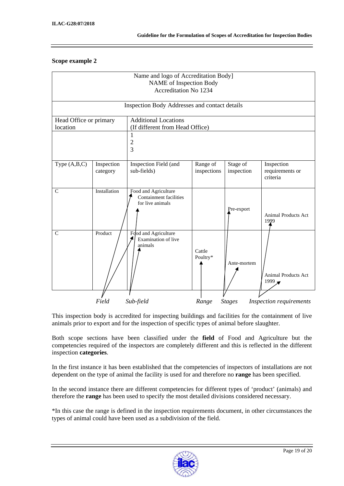## **Scope example 2**

| Name and logo of Accreditation Body]<br>NAME of Inspection Body<br>Accreditation No 1234 |                                               |                                                                           |                         |                        |                                           |  |
|------------------------------------------------------------------------------------------|-----------------------------------------------|---------------------------------------------------------------------------|-------------------------|------------------------|-------------------------------------------|--|
|                                                                                          | Inspection Body Addresses and contact details |                                                                           |                         |                        |                                           |  |
| Head Office or primary<br>location                                                       |                                               | <b>Additional Locations</b><br>(If different from Head Office)            |                         |                        |                                           |  |
|                                                                                          |                                               | 1<br>$\overline{c}$<br>3                                                  |                         |                        |                                           |  |
| Type $(A,B,C)$                                                                           | Inspection<br>category                        | Inspection Field (and<br>sub-fields)                                      | Range of<br>inspections | Stage of<br>inspection | Inspection<br>requirements or<br>criteria |  |
| $\mathsf{C}$                                                                             | Installation                                  | Food and Agriculture<br><b>Containment facilities</b><br>for live animals |                         | Pre-export             | <b>Animal Products Act</b><br>1999        |  |
| $\mathsf{C}$                                                                             | Product                                       | Food and Agriculture<br>Examination of live<br>animals                    | Cattle<br>Poultry*      | Ante-mortem            | Animal Products Act<br>$1999 =$           |  |
|                                                                                          | Field                                         | Sub-field                                                                 | Range                   | <b>Stages</b>          | Inspection requirements                   |  |

This inspection body is accredited for inspecting buildings and facilities for the containment of live animals prior to export and for the inspection of specific types of animal before slaughter.

Both scope sections have been classified under the **field** of Food and Agriculture but the competencies required of the inspectors are completely different and this is reflected in the different inspection **categories**.

In the first instance it has been established that the competencies of inspectors of installations are not dependent on the type of animal the facility is used for and therefore no **range** has been specified.

In the second instance there are different competencies for different types of 'product' (animals) and therefore the **range** has been used to specify the most detailed divisions considered necessary.

\*In this case the range is defined in the inspection requirements document, in other circumstances the types of animal could have been used as a subdivision of the field.